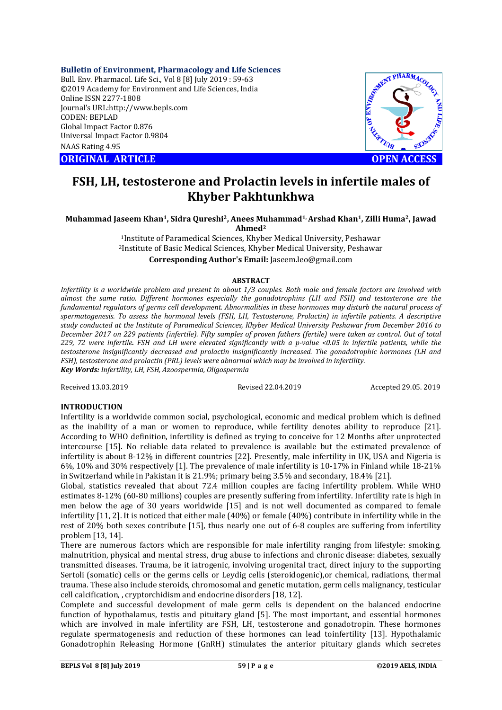**Bulletin of Environment, Pharmacology and Life Sciences**

Bull. Env. Pharmacol. Life Sci., Vol 8 [8] July 2019 : 59-63 ©2019 Academy for Environment and Life Sciences, India Online ISSN 2277-1808 Journal's URL:http://www.bepls.com CODEN: BEPLAD Global Impact Factor 0.876 Universal Impact Factor 0.9804 NAAS Rating 4.95

**CORIGINAL ARTICLE CONSUMING ARTICLE CONSUMING A REPORT OF A LIGHT AND ACCESS** 



# **FSH, LH, testosterone and Prolactin levels in infertile males of Khyber Pakhtunkhwa**

**Muhammad Jaseem Khan1, Sidra Qureshi2, Anees Muhammad1, Arshad Khan1, Zilli Huma2, Jawad Ahmed2**

1Institute of Paramedical Sciences, Khyber Medical University, Peshawar 2Institute of Basic Medical Sciences, Khyber Medical University, Peshawar **Corresponding Author's Email:** Jaseem.leo@gmail.com

### **ABSTRACT**

*Infertility is a worldwide problem and present in about 1/3 couples. Both male and female factors are involved with almost the same ratio. Different hormones especially the gonadotrophins (LH and FSH) and testosterone are the fundamental regulators of germs cell development. Abnormalities in these hormones may disturb the natural process of spermatogenesis. To assess the hormonal levels (FSH, LH, Testosterone, Prolactin) in infertile patients. A descriptive study conducted at the Institute of Paramedical Sciences, Khyber Medical University Peshawar from December 2016 to December 2017 on 229 patients (infertile). Fifty samples of proven fathers (fertile) were taken as control. Out of total 229, 72 were infertile. FSH and LH were elevated significantly with a p-value <0.05 in infertile patients, while the testosterone insignificantly decreased and prolactin insignificantly increased. The gonadotrophic hormones (LH and FSH), testosterone and prolactin (PRL) levels were abnormal which may be involved in infertility. Key Words: Infertility, LH, FSH, Azoospermia, Oligospermia*

Received 13.03.2019 Revised 22.04.2019 Accepted 29.05. 2019

## **INTRODUCTION**

Infertility is a worldwide common social, psychological, economic and medical problem which is defined as the inability of a man or women to reproduce, while fertility denotes ability to reproduce [21]. According to WHO definition, infertility is defined as trying to conceive for 12 Months after unprotected intercourse [15]. No reliable data related to prevalence is available but the estimated prevalence of infertility is about 8-12% in different countries [22]. Presently, male infertility in UK, USA and Nigeria is 6%, 10% and 30% respectively [1]. The prevalence of male infertility is 10-17% in Finland while 18-21% in Switzerland while in Pakistan it is 21.9%; primary being 3.5% and secondary, 18.4% [21].

Global, statistics revealed that about 72.4 million couples are facing infertility problem. While WHO estimates 8-12% (60-80 millions) couples are presently suffering from infertility. Infertility rate is high in men below the age of 30 years worldwide [15] and is not well documented as compared to female infertility [11, 2]. It is noticed that either male (40%) or female (40%) contribute in infertility while in the rest of 20% both sexes contribute [15], thus nearly one out of 6-8 couples are suffering from infertility problem [13, 14].

There are numerous factors which are responsible for male infertility ranging from lifestyle: smoking, malnutrition, physical and mental stress, drug abuse to infections and chronic disease: diabetes, sexually transmitted diseases. Trauma, be it iatrogenic, involving urogenital tract, direct injury to the supporting Sertoli (somatic) cells or the germs cells or Leydig cells (steroidogenic),or chemical, radiations, thermal trauma. These also include steroids, chromosomal and genetic mutation, germ cells malignancy, testicular cell calcification, , cryptorchidism and endocrine disorders [18, 12].

Complete and successful development of male germ cells is dependent on the balanced endocrine function of hypothalamus, testis and pituitary gland [5]. The most important, and essential hormones which are involved in male infertility are FSH, LH, testosterone and gonadotropin. These hormones regulate spermatogenesis and reduction of these hormones can lead toinfertility [13]. Hypothalamic Gonadotrophin Releasing Hormone (GnRH) stimulates the anterior pituitary glands which secretes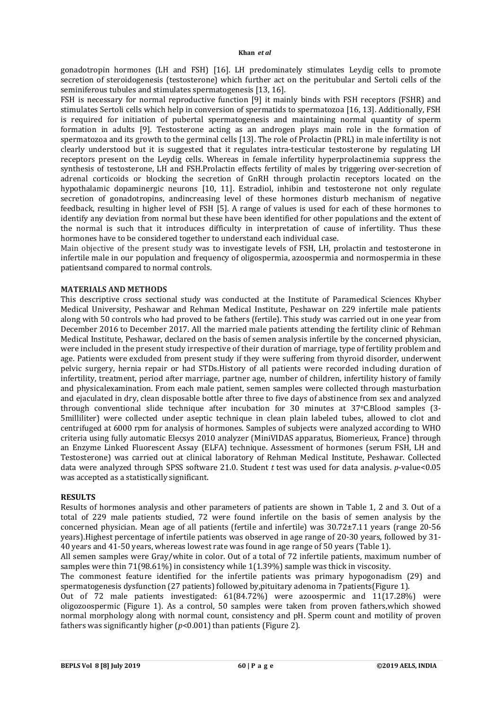gonadotropin hormones (LH and FSH) [16]. LH predominately stimulates Leydig cells to promote secretion of steroidogenesis (testosterone) which further act on the peritubular and Sertoli cells of the seminiferous tubules and stimulates spermatogenesis [13, 16].

FSH is necessary for normal reproductive function [9] it mainly binds with FSH receptors (FSHR) and stimulates Sertoli cells which help in conversion of spermatids to spermatozoa [16, 13]. Additionally, FSH is required for initiation of pubertal spermatogenesis and maintaining normal quantity of sperm formation in adults [9]. Testosterone acting as an androgen plays main role in the formation of spermatozoa and its growth to the germinal cells [13]. The role of Prolactin (PRL) in male infertility is not clearly understood but it is suggested that it regulates intra-testicular testosterone by regulating LH receptors present on the Leydig cells. Whereas in female infertility hyperprolactinemia suppress the synthesis of testosterone, LH and FSH.Prolactin effects fertility of males by triggering over-secretion of adrenal corticoids or blocking the secretion of GnRH through prolactin receptors located on the hypothalamic dopaminergic neurons [10, 11]. Estradiol, inhibin and testosterone not only regulate secretion of gonadotropins, andincreasing level of these hormones disturb mechanism of negative feedback, resulting in higher level of FSH [5]. A range of values is used for each of these hormones to identify any deviation from normal but these have been identified for other populations and the extent of the normal is such that it introduces difficulty in interpretation of cause of infertility. Thus these hormones have to be considered together to understand each individual case.

Main objective of the present study was to investigate levels of FSH, LH, prolactin and testosterone in infertile male in our population and frequency of oligospermia, azoospermia and normospermia in these patientsand compared to normal controls.

### **MATERIALS AND METHODS**

This descriptive cross sectional study was conducted at the Institute of Paramedical Sciences Khyber Medical University, Peshawar and Rehman Medical Institute, Peshawar on 229 infertile male patients along with 50 controls who had proved to be fathers (fertile). This study was carried out in one year from December 2016 to December 2017. All the married male patients attending the fertility clinic of Rehman Medical Institute, Peshawar, declared on the basis of semen analysis infertile by the concerned physician, were included in the present study irrespective of their duration of marriage, type of fertility problem and age. Patients were excluded from present study if they were suffering from thyroid disorder, underwent pelvic surgery, hernia repair or had STDs.History of all patients were recorded including duration of infertility, treatment, period after marriage, partner age, number of children, infertility history of family and physicalexamination. From each male patient, semen samples were collected through masturbation and ejaculated in dry, clean disposable bottle after three to five days of abstinence from sex and analyzed through conventional slide technique after incubation for 30 minutes at  $37^{\circ}$ C.Blood samples (3-5milliliter) were collected under aseptic technique in clean plain labeled tubes, allowed to clot and centrifuged at 6000 rpm for analysis of hormones. Samples of subjects were analyzed according to WHO criteria using fully automatic Elecsys 2010 analyzer (MiniVIDAS apparatus, Biomerieux, France) through an Enzyme Linked Fluorescent Assay (ELFA) technique. Assessment of hormones (serum FSH, LH and Testosterone) was carried out at clinical laboratory of Rehman Medical Institute, Peshawar. Collected data were analyzed through SPSS software 21.0. Student *t* test was used for data analysis. *p*-value<0.05 was accepted as a statistically significant.

### **RESULTS**

Results of hormones analysis and other parameters of patients are shown in Table 1, 2 and 3. Out of a total of 229 male patients studied, 72 were found infertile on the basis of semen analysis by the concerned physician. Mean age of all patients (fertile and infertile) was 30.72±7.11 years (range 20-56 years).Highest percentage of infertile patients was observed in age range of 20-30 years, followed by 31- 40 years and 41-50 years, whereas lowest rate was found in age range of 50 years (Table 1).

All semen samples were Gray/white in color. Out of a total of 72 infertile patients, maximum number of samples were thin 71(98.61%) in consistency while 1(1.39%) sample was thick in viscosity.

The commonest feature identified for the infertile patients was primary hypogonadism (29) and spermatogenesis dysfunction (27 patients) followed by,pituitary adenoma in 7patients(Figure 1).

Out of 72 male patients investigated: 61(84.72%) were azoospermic and 11(17.28%) were oligozoospermic (Figure 1). As a control, 50 samples were taken from proven fathers,which showed normal morphology along with normal count, consistency and pH. Sperm count and motility of proven fathers was significantly higher (*p*<0.001) than patients (Figure 2).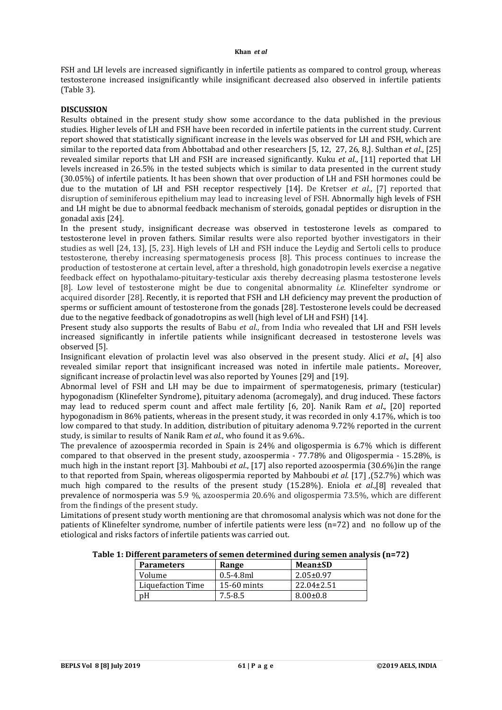### **Khan** *et al*

FSH and LH levels are increased significantly in infertile patients as compared to control group, whereas testosterone increased insignificantly while insignificant decreased also observed in infertile patients (Table 3).

# **DISCUSSION**

Results obtained in the present study show some accordance to the data published in the previous studies. Higher levels of LH and FSH have been recorded in infertile patients in the current study. Current report showed that statistically significant increase in the levels was observed for LH and FSH, which are similar to the reported data from Abbottabad and other researchers [5, 12, 27, 26, 8,]. Sulthan *et al*., [25] revealed similar reports that LH and FSH are increased significantly. Kuku *et al*., [11] reported that LH levels increased in 26.5% in the tested subjects which is similar to data presented in the current study (30.05%) of infertile patients. It has been shown that over production of LH and FSH hormones could be due to the mutation of LH and FSH receptor respectively [14]. De Kretser *et al*., [7] reported that disruption of seminiferous epithelium may lead to increasing level of FSH. Abnormally high levels of FSH and LH might be due to abnormal feedback mechanism of steroids, gonadal peptides or disruption in the gonadal axis [24].

In the present study, insignificant decrease was observed in testosterone levels as compared to testosterone level in proven fathers. Similar results were also reported byother investigators in their studies as well [24, 13], [5, 23]. High levels of LH and FSH induce the Leydig and Sertoli cells to produce testosterone, thereby increasing spermatogenesis process [8]. This process continues to increase the production of testosterone at certain level, after a threshold, high gonadotropin levels exercise a negative feedback effect on hypothalamo-pituitary-testicular axis thereby decreasing plasma testosterone levels [8]. Low level of testosterone might be due to congenital abnormality *i.e.* Klinefelter syndrome or acquired disorder [28]. Recently, it is reported that FSH and LH deficiency may prevent the production of sperms or sufficient amount of testosterone from the gonads [28]. Testosterone levels could be decreased due to the negative feedback of gonadotropins as well (high level of LH and FSH) [14].

Present study also supports the results of Babu *et al*., from India who revealed that LH and FSH levels increased significantly in infertile patients while insignificant decreased in testosterone levels was observed [5].

Insignificant elevation of prolactin level was also observed in the present study. Alici *et al*., [4] also revealed similar report that insignificant increased was noted in infertile male patients.. Moreover, significant increase of prolactin level was also reported by Younes [29] and [19].

Abnormal level of FSH and LH may be due to impairment of spermatogenesis, primary (testicular) hypogonadism (Klinefelter Syndrome), pituitary adenoma (acromegaly), and drug induced. These factors may lead to reduced sperm count and affect male fertility [6, 20]. Nanik Ram *et al*., [20] reported hypogonadism in 86% patients, whereas in the present study, it was recorded in only 4.17%, which is too low compared to that study. In addition, distribution of pituitary adenoma 9.72% reported in the current study, is similar to results of Nanik Ram *et al*., who found it as 9.6%..

The prevalence of azoospermia recorded in Spain is 24% and oligospermia is 6.7% which is different compared to that observed in the present study, azoospermia - 77.78% and Oligospermia - 15.28%, is much high in the instant report [3]. Mahboubi *et al*., [17] also reported azoospermia (30.6%)in the range to that reported from Spain, whereas oligospermia reported by Mahboubi *et al.* [17] *,*(52.7%) which was much high compared to the results of the present study (15.28%). Eniola *et al*.,[8] revealed that prevalence of normosperia was 5.9 %, azoospermia 20.6% and oligospermia 73.5%, which are different from the findings of the present study.

Limitations of present study worth mentioning are that chromosomal analysis which was not done for the patients of Klinefelter syndrome, number of infertile patients were less (n=72) and no follow up of the etiological and risks factors of infertile patients was carried out.

**Table 1: Different parameters of semen determined during semen analysis (n=72)**

| <b>Parameters</b> | Range          | Mean±SD          |
|-------------------|----------------|------------------|
| Volume            | $0.5 - 4.8$ ml | $2.05 \pm 0.97$  |
| Liquefaction Time | $15-60$ mints  | $22.04 \pm 2.51$ |
| pΗ                | $7.5 - 8.5$    | $8.00 \pm 0.8$   |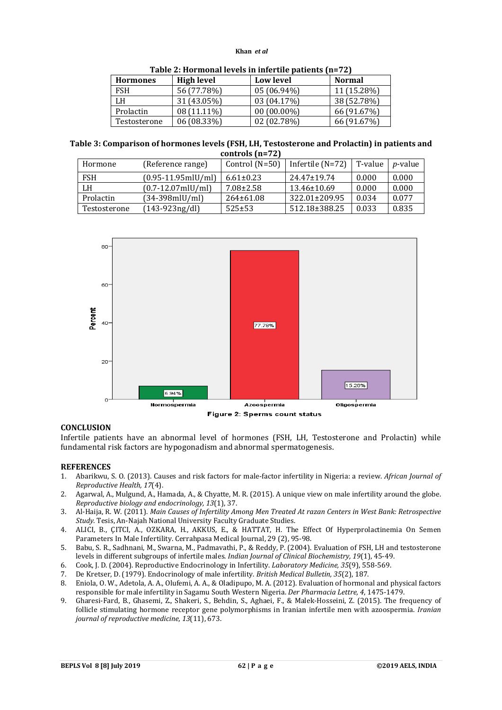### **Khan** *et al*

| <b>High level</b><br><b>Hormones</b> |             | <b>Low level</b> | <b>Normal</b> |  |  |  |  |
|--------------------------------------|-------------|------------------|---------------|--|--|--|--|
| <b>FSH</b>                           | 56 (77.78%) | 05 (06.94%)      | 11 (15.28%)   |  |  |  |  |
| LH                                   | 31 (43.05%) | 03 (04.17%)      | 38 (52.78%)   |  |  |  |  |
| Prolactin                            | 08 (11.11%) | $00(00.00\%)$    | 66 (91.67%)   |  |  |  |  |
| Testosterone                         | 06 (08.33%) | 02(02.78%)       | 66 (91.67%)   |  |  |  |  |

**Table 3: Comparison of hormones levels (FSH, LH, Testosterone and Prolactin) in patients and controls (n=72)**

| Hormone      | (Reference range)      | Control $(N=50)$ | Infertile $(N=72)$ | T-value | <i>p</i> -value |
|--------------|------------------------|------------------|--------------------|---------|-----------------|
| <b>FSH</b>   | $(0.95-11.95$ mlU/ml)  | $6.61 \pm 0.23$  | $24.47 \pm 19.74$  | 0.000   | 0.000           |
| LH           | $(0.7 - 12.07$ mlU/ml) | $7.08 \pm 2.58$  | $13.46 \pm 10.69$  | 0.000   | 0.000           |
| Prolactin    | (34-398mlU/ml)         | $264 \pm 61.08$  | 322.01±209.95      | 0.034   | 0.077           |
| Testosterone | $(143-923)ng/dl$       | $525 \pm 53$     | 512.18±388.25      | 0.033   | 0.835           |



## **CONCLUSION**

Infertile patients have an abnormal level of hormones (FSH, LH, Testosterone and Prolactin) while fundamental risk factors are hypogonadism and abnormal spermatogenesis.

### **REFERENCES**

- 1. Abarikwu, S. O. (2013). Causes and risk factors for male-factor infertility in Nigeria: a review. *African Journal of Reproductive Health, 17*(4).
- 2. Agarwal, A., Mulgund, A., Hamada, A., & Chyatte, M. R. (2015). A unique view on male infertility around the globe. *Reproductive biology and endocrinology, 13*(1), 37.
- 3. Al-Haija, R. W. (2011). *Main Causes of Infertility Among Men Treated At razan Centers in West Bank: Retrospective Study.* Tesis, An-Najah National University Faculty Graduate Studies.
- 4. ALICI, B., ÇITCI, A., OZKARA, H., AKKUS, E., & HATTAT, H. The Effect Of Hyperprolactinemia On Semen Parameters In Male Infertility. Cerrahpasa Medical Journal, 29 (2), 95-98.
- 5. Babu, S. R., Sadhnani, M., Swarna, M., Padmavathi, P., & Reddy, P. (2004). Evaluation of FSH, LH and testosterone levels in different subgroups of infertile males. *Indian Journal of Clinical Biochemistry, 19*(1), 45-49.
- 6. Cook, J. D. (2004). Reproductive Endocrinology in Infertility. *Laboratory Medicine, 35*(9), 558-569.
- 7. De Kretser, D. (1979). Endocrinology of male infertility. *British Medical Bulletin, 35*(2), 187.
- 8. Eniola, O. W., Adetola, A. A., Olufemi, A. A., & Oladipupo, M. A. (2012). Evaluation of hormonal and physical factors responsible for male infertility in Sagamu South Western Nigeria. *Der Pharmacia Lettre, 4*, 1475-1479.
- 9. Gharesi-Fard, B., Ghasemi, Z., Shakeri, S., Behdin, S., Aghaei, F., & Malek-Hosseini, Z. (2015). The frequency of follicle stimulating hormone receptor gene polymorphisms in Iranian infertile men with azoospermia. *Iranian journal of reproductive medicine, 13*(11), 673.